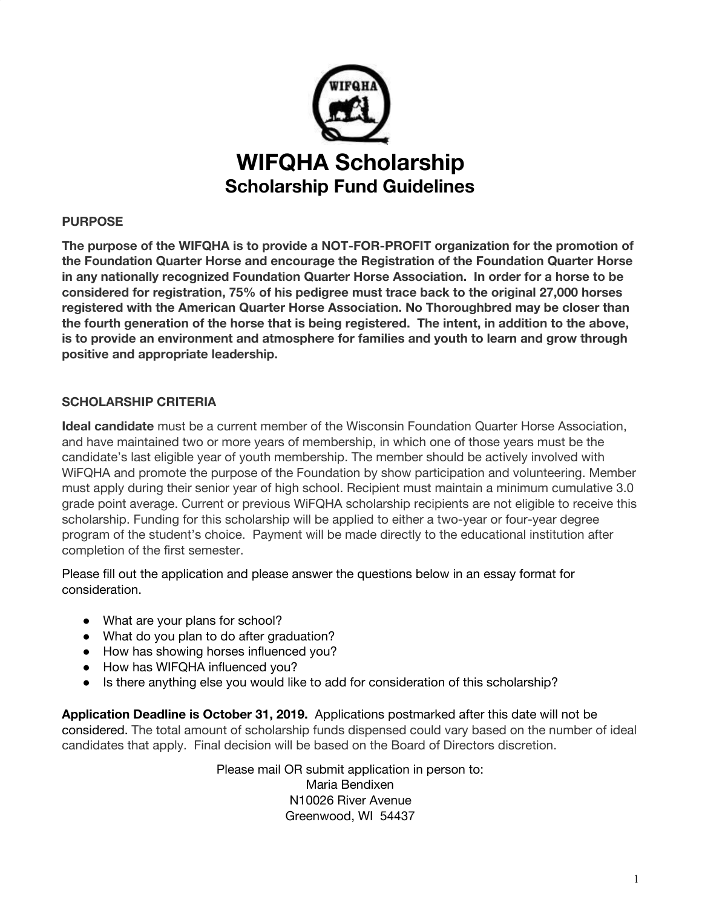

## **PURPOSE**

**The purpose of the WIFQHA is to provide a NOT-FOR-PROFIT organization for the promotion of the Foundation Quarter Horse and encourage the Registration of the Foundation Quarter Horse in any nationally recognized Foundation Quarter Horse Association. In order for a horse to be considered for registration, 75% of his pedigree must trace back to the original 27,000 horses registered with the American Quarter Horse Association. No Thoroughbred may be closer than the fourth generation of the horse that is being registered. The intent, in addition to the above, is to provide an environment and atmosphere for families and youth to learn and grow through positive and appropriate leadership.**

## **SCHOLARSHIP CRITERIA**

**Ideal candidate** must be a current member of the Wisconsin Foundation Quarter Horse Association, and have maintained two or more years of membership, in which one of those years must be the candidate's last eligible year of youth membership. The member should be actively involved with WiFQHA and promote the purpose of the Foundation by show participation and volunteering. Member must apply during their senior year of high school. Recipient must maintain a minimum cumulative 3.0 grade point average. Current or previous WiFQHA scholarship recipients are not eligible to receive this scholarship. Funding for this scholarship will be applied to either a two-year or four-year degree program of the student's choice. Payment will be made directly to the educational institution after completion of the first semester.

Please fill out the application and please answer the questions below in an essay format for consideration.

- What are your plans for school?
- What do you plan to do after graduation?
- How has showing horses influenced you?
- How has WIFQHA influenced you?
- Is there anything else you would like to add for consideration of this scholarship?

**Application Deadline is October 31, 2019.** Applications postmarked after this date will not be considered. The total amount of scholarship funds dispensed could vary based on the number of ideal candidates that apply. Final decision will be based on the Board of Directors discretion.

> Please mail OR submit application in person to: Maria Bendixen N10026 River Avenue Greenwood, WI 54437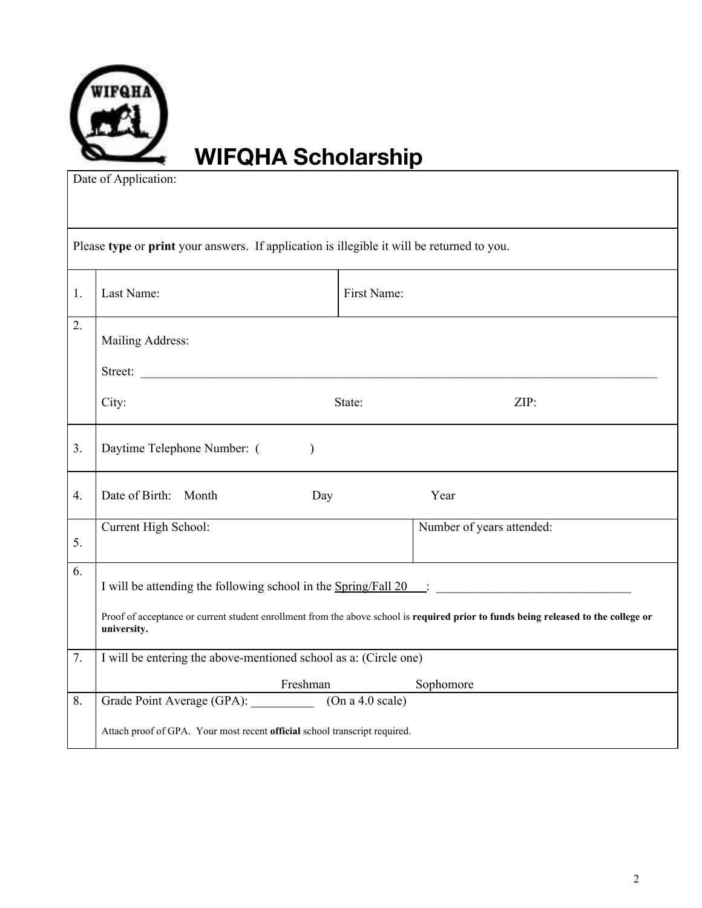

## **WIFQHA Scholarship**

Date of Application:

| Please type or print your answers. If application is illegible it will be returned to you. |                                                                            |             |                                                                                                                                     |
|--------------------------------------------------------------------------------------------|----------------------------------------------------------------------------|-------------|-------------------------------------------------------------------------------------------------------------------------------------|
| 1.                                                                                         | Last Name:                                                                 | First Name: |                                                                                                                                     |
| 2.                                                                                         | Mailing Address:                                                           |             |                                                                                                                                     |
|                                                                                            | Street:                                                                    |             |                                                                                                                                     |
|                                                                                            | City:                                                                      | State:      | ZIP:                                                                                                                                |
| 3.                                                                                         | Daytime Telephone Number: (<br>$\lambda$                                   |             |                                                                                                                                     |
| 4.                                                                                         | Date of Birth: Month<br>Day                                                |             | Year                                                                                                                                |
| 5.                                                                                         | Current High School:                                                       |             | Number of years attended:                                                                                                           |
| 6.                                                                                         | I will be attending the following school in the Spring/Fall 20 :           |             |                                                                                                                                     |
|                                                                                            | university.                                                                |             | Proof of acceptance or current student enrollment from the above school is required prior to funds being released to the college or |
| 7.                                                                                         | I will be entering the above-mentioned school as a: (Circle one)           |             |                                                                                                                                     |
|                                                                                            | Freshman                                                                   |             | Sophomore                                                                                                                           |
| 8.                                                                                         | Grade Point Average (GPA): (On a 4.0 scale)                                |             |                                                                                                                                     |
|                                                                                            | Attach proof of GPA. Your most recent official school transcript required. |             |                                                                                                                                     |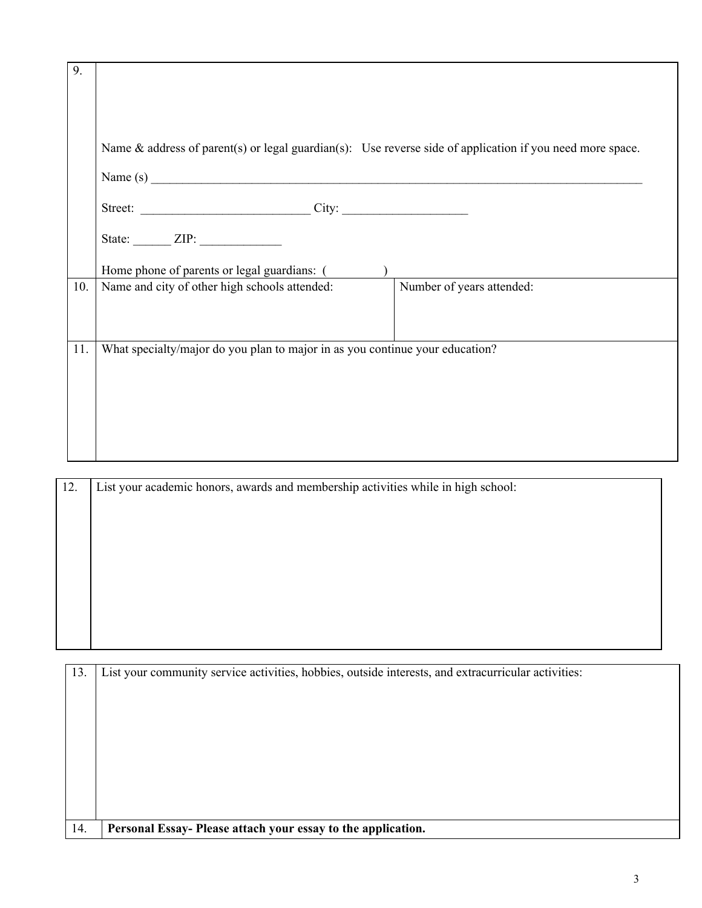| 9.  |                                                                                                              |  |  |
|-----|--------------------------------------------------------------------------------------------------------------|--|--|
|     |                                                                                                              |  |  |
|     |                                                                                                              |  |  |
|     | Name $\&$ address of parent(s) or legal guardian(s): Use reverse side of application if you need more space. |  |  |
|     | Name $(s)$                                                                                                   |  |  |
|     |                                                                                                              |  |  |
|     | State: $ZIP:$                                                                                                |  |  |
|     | Home phone of parents or legal guardians: ()                                                                 |  |  |
| 10. | Name and city of other high schools attended:<br>Number of years attended:                                   |  |  |
|     |                                                                                                              |  |  |
|     |                                                                                                              |  |  |
| 11. | What specialty/major do you plan to major in as you continue your education?                                 |  |  |
|     |                                                                                                              |  |  |
|     |                                                                                                              |  |  |
|     |                                                                                                              |  |  |
|     |                                                                                                              |  |  |
|     |                                                                                                              |  |  |

| 12. | List your academic honors, awards and membership activities while in high school: |
|-----|-----------------------------------------------------------------------------------|
|     |                                                                                   |
|     |                                                                                   |
|     |                                                                                   |
|     |                                                                                   |
|     |                                                                                   |
|     |                                                                                   |
|     |                                                                                   |
|     |                                                                                   |
|     |                                                                                   |

| 13. | List your community service activities, hobbies, outside interests, and extracurricular activities: |  |
|-----|-----------------------------------------------------------------------------------------------------|--|
|     |                                                                                                     |  |
|     |                                                                                                     |  |
|     |                                                                                                     |  |
|     |                                                                                                     |  |
|     |                                                                                                     |  |
|     |                                                                                                     |  |
| 14. | Personal Essay- Please attach your essay to the application.                                        |  |